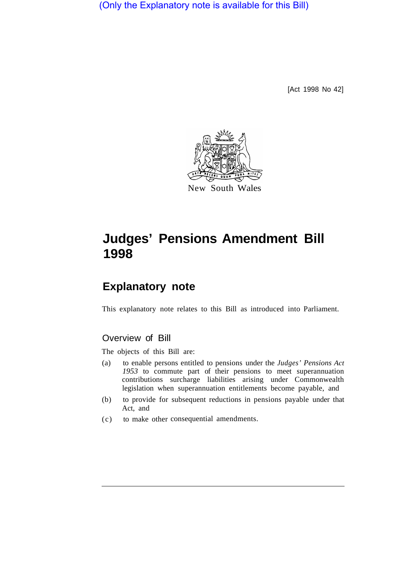(Only the Explanatory note is available for this Bill)

[Act 1998 No 42]



# **Judges' Pensions Amendment Bill 1998**

## **Explanatory note**

This explanatory note relates to this Bill as introduced into Parliament.

#### Overview of Bill

The objects of this Bill are:

- (a) to enable persons entitled to pensions under the *Judges' Pensions Act 1953* to commute part of their pensions to meet superannuation contributions surcharge liabilities arising under Commonwealth legislation when superannuation entitlements become payable, and
- (b) to provide for subsequent reductions in pensions payable under that Act, and
- (c) to make other consequential amendments.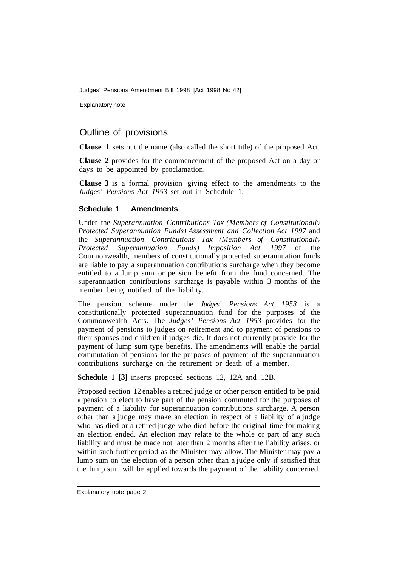Judges' Pensions Amendment Bill 1998 [Act 1998 No 42]

Explanatory note

### Outline of provisions

**Clause 1** sets out the name (also called the short title) of the proposed Act.

**Clause 2** provides for the commencement of the proposed Act on a day or days to be appointed by proclamation.

**Clause 3** is a formal provision giving effect to the amendments to the *Judges' Pensions Act 1953* set out in Schedule 1.

#### **Schedule 1 Amendments**

Under the *Superannuation Contributions Tax (Members of Constitutionally Protected Superannuation Funds) Assessment and Collection Act 1997* and the *Superannuation Contributions Tax (Members of Constitutionally Protected Superannuation Funds) Imposition Act 1997* of the Commonwealth, members of constitutionally protected superannuation funds are liable to pay a superannuation contributions surcharge when they become entitled to a lump sum or pension benefit from the fund concerned. The superannuation contributions surcharge is payable within 3 months of the member being notified of the liability.

The pension scheme under the *Judges' Pensions Act 1953* is a constitutionally protected superannuation fund for the purposes of the Commonwealth Acts. The *Judges' Pensions Act 1953* provides for the payment of pensions to judges on retirement and to payment of pensions to their spouses and children if judges die. It does not currently provide for the payment of lump sum type benefits. The amendments will enable the partial commutation of pensions for the purposes of payment of the superannuation contributions surcharge on the retirement or death of a member.

**Schedule 1 [3]** inserts proposed sections 12, 12A and 12B.

Proposed section 12 enables a retired judge or other person entitled to be paid a pension to elect to have part of the pension commuted for the purposes of payment of a liability for superannuation contributions surcharge. A person other than a judge may make an election in respect of a liability of a judge who has died or a retired judge who died before the original time for making an election ended. An election may relate to the whole or part of any such liability and must be made not later than 2 months after the liability arises, or within such further period as the Minister may allow. The Minister may pay a lump sum on the election of a person other than a judge only if satisfied that the lump sum will be applied towards the payment of the liability concerned.